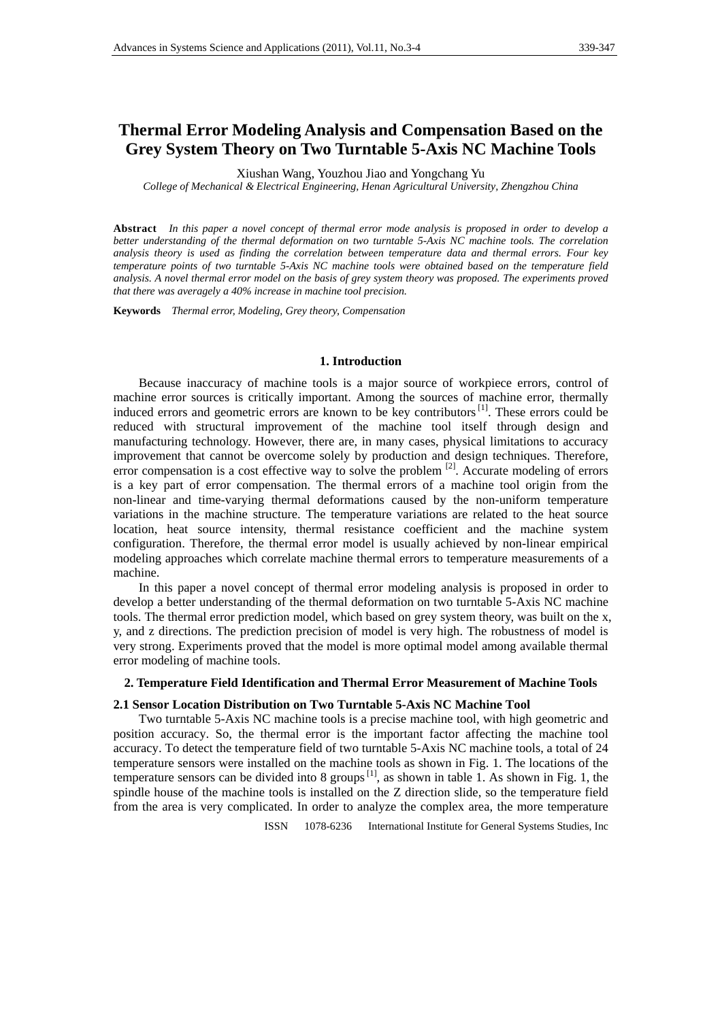# **Thermal Error Modeling Analysis and Compensation Based on the Grey System Theory on Two Turntable 5-Axis NC Machine Tools**

Xiushan Wang, Youzhou Jiao and Yongchang Yu

*College of Mechanical & Electrical Engineering, Henan Agricultural University, Zhengzhou China*

**Abstract** *In this paper a novel concept of thermal error mode analysis is proposed in order to develop a better understanding of the thermal deformation on two turntable 5-Axis NC machine tools. The correlation analysis theory is used as finding the correlation between temperature data and thermal errors. Four key temperature points of two turntable 5-Axis NC machine tools were obtained based on the temperature field analysis. A novel thermal error model on the basis of grey system theory was proposed. The experiments proved that there was averagely a 40% increase in machine tool precision.*

**Keywords** *Thermal error, Modeling, Grey theory, Compensation*

#### **1. Introduction**

Because inaccuracy of machine tools is a major source of workpiece errors, control of machine error sources is critically important. Among the sources of machine error, thermally induced errors and geometric errors are known to be key contributors<sup>[1]</sup>. These errors could be reduced with structural improvement of the machine tool itself through design and manufacturing technology. However, there are, in many cases, physical limitations to accuracy improvement that cannot be overcome solely by production and design techniques. Therefore, error compensation is a cost effective way to solve the problem  $[2]$ . Accurate modeling of errors is a key part of error compensation. The thermal errors of a machine tool origin from the non-linear and time-varying thermal deformations caused by the non-uniform temperature variations in the machine structure. The temperature variations are related to the heat source location, heat source intensity, thermal resistance coefficient and the machine system configuration. Therefore, the thermal error model is usually achieved by non-linear empirical modeling approaches which correlate machine thermal errors to temperature measurements of a machine.

In this paper a novel concept of thermal error modeling analysis is proposed in order to develop a better understanding of the thermal deformation on two turntable 5-Axis NC machine tools. The thermal error prediction model, which based on grey system theory, was built on the x, y, and z directions. The prediction precision of model is very high. The robustness of model is very strong. Experiments proved that the model is more optimal model among available thermal error modeling of machine tools.

## **2. Temperature Field Identification and Thermal Error Measurement of Machine Tools**

#### **2.1 Sensor Location Distribution on Two Turntable 5-Axis NC Machine Tool**

Two turntable 5-Axis NC machine tools is a precise machine tool, with high geometric and position accuracy. So, the thermal error is the important factor affecting the machine tool accuracy. To detect the temperature field of two turntable 5-Axis NC machine tools, a total of 24 temperature sensors were installed on the machine tools as shown in Fig. 1. The locations of the temperature sensors can be divided into 8 groups  $^{[1]}$ , as shown in table 1. As shown in Fig. 1, the spindle house of the machine tools is installed on the Z direction slide, so the temperature field from the area is very complicated. In order to analyze the complex area, the more temperature

ISSN 1078-6236 International Institute for General Systems Studies, Inc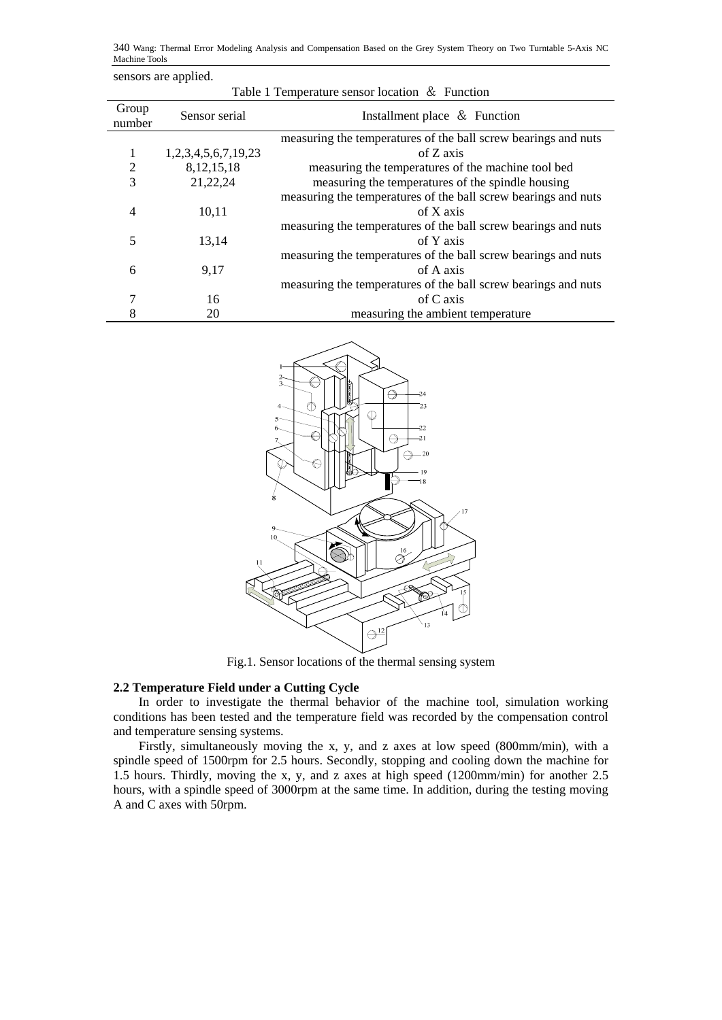340 Wang: Thermal Error Modeling Analysis and Compensation Based on the Grey System Theory on Two Turntable 5-Axis NC Machine Tools

| sensors are applied.                           |                     |                                                                |  |  |  |  |  |
|------------------------------------------------|---------------------|----------------------------------------------------------------|--|--|--|--|--|
| Table 1 Temperature sensor location & Function |                     |                                                                |  |  |  |  |  |
| Group<br>number                                | Sensor serial       | Installment place & Function                                   |  |  |  |  |  |
|                                                |                     | measuring the temperatures of the ball screw bearings and nuts |  |  |  |  |  |
| 1                                              | 1,2,3,4,5,6,7,19,23 | of Z axis                                                      |  |  |  |  |  |
| $\overline{2}$                                 | 8, 12, 15, 18       | measuring the temperatures of the machine tool bed             |  |  |  |  |  |
| 3                                              | 21,22,24            | measuring the temperatures of the spindle housing              |  |  |  |  |  |
|                                                |                     | measuring the temperatures of the ball screw bearings and nuts |  |  |  |  |  |
| 4                                              | 10,11               | of X axis                                                      |  |  |  |  |  |
|                                                |                     | measuring the temperatures of the ball screw bearings and nuts |  |  |  |  |  |
| 5                                              | 13,14               | of Y axis                                                      |  |  |  |  |  |
|                                                |                     | measuring the temperatures of the ball screw bearings and nuts |  |  |  |  |  |
| 6                                              | 9,17                | of A axis                                                      |  |  |  |  |  |
|                                                |                     | measuring the temperatures of the ball screw bearings and nuts |  |  |  |  |  |
| 7                                              | 16                  | of C axis                                                      |  |  |  |  |  |
| 8                                              | 20                  | measuring the ambient temperature                              |  |  |  |  |  |



Fig.1. Sensor locations of the thermal sensing system

# **2.2 Temperature Field under a Cutting Cycle**

In order to investigate the thermal behavior of the machine tool, simulation working conditions has been tested and the temperature field was recorded by the compensation control and temperature sensing systems.

Firstly, simultaneously moving the x, y, and z axes at low speed (800mm/min), with a spindle speed of 1500rpm for 2.5 hours. Secondly, stopping and cooling down the machine for 1.5 hours. Thirdly, moving the x, y, and z axes at high speed (1200mm/min) for another 2.5 hours, with a spindle speed of 3000rpm at the same time. In addition, during the testing moving A and C axes with 50rpm.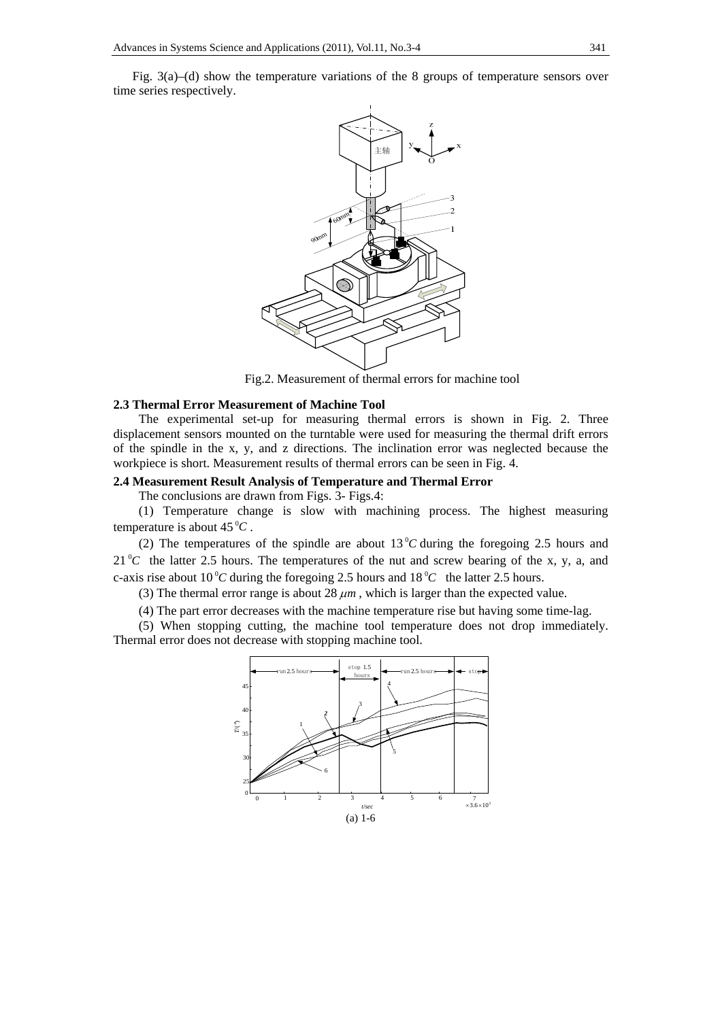Fig. 3(a)–(d) show the temperature variations of the 8 groups of temperature sensors over time series respectively.



Fig.2. Measurement of thermal errors for machine tool

## **2.3 Thermal Error Measurement of Machine Tool**

The experimental set-up for measuring thermal errors is shown in Fig. 2. Three displacement sensors mounted on the turntable were used for measuring the thermal drift errors of the spindle in the x, y, and z directions. The inclination error was neglected because the workpiece is short. Measurement results of thermal errors can be seen in Fig. 4.

#### **2.4 Measurement Result Analysis of Temperature and Thermal Error**

The conclusions are drawn from Figs. 3- Figs.4:

(1) Temperature change is slow with machining process. The highest measuring temperature is about  $45^{\circ}C$ .

(2) The temperatures of the spindle are about  $13\text{ °C}$  during the foregoing 2.5 hours and  $21\degree C$  the latter 2.5 hours. The temperatures of the nut and screw bearing of the x, y, a, and c-axis rise about 10<sup>°</sup>C during the foregoing 2.5 hours and 18<sup>°</sup>C the latter 2.5 hours.

(3) The thermal error range is about  $28 \mu m$ , which is larger than the expected value.

(4) The part error decreases with the machine temperature rise but having some time-lag.

(5) When stopping cutting, the machine tool temperature does not drop immediately. Thermal error does not decrease with stopping machine tool.

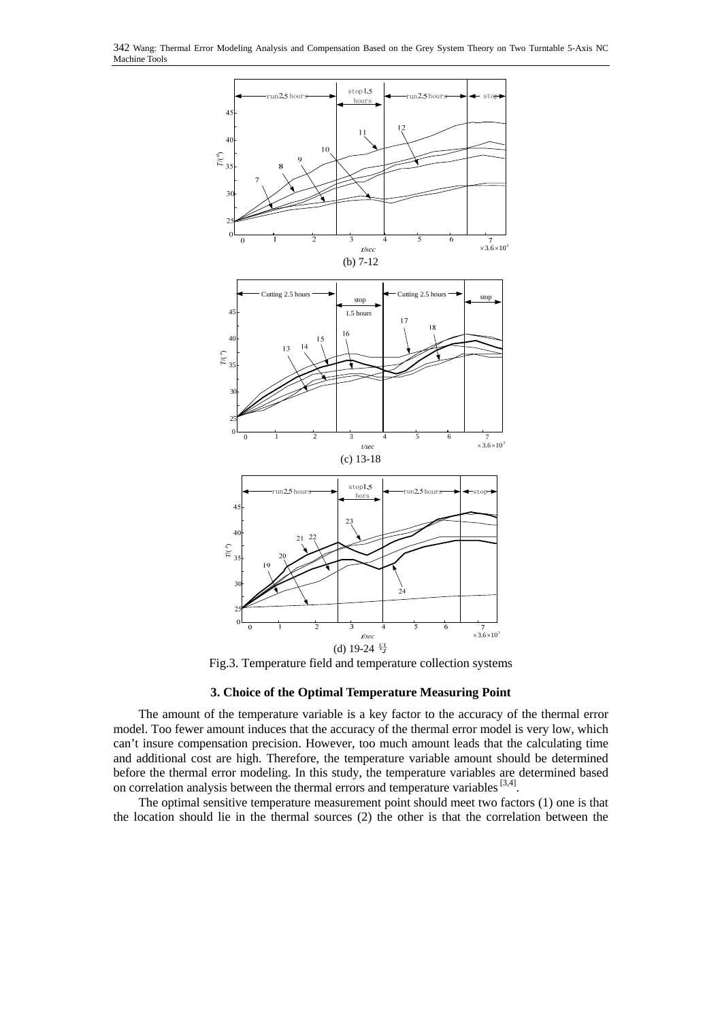

Fig.3. Temperature field and temperature collection systems

# **3. Choice of the Optimal Temperature Measuring Point**

The amount of the temperature variable is a key factor to the accuracy of the thermal error model. Too fewer amount induces that the accuracy of the thermal error model is very low, which can't insure compensation precision. However, too much amount leads that the calculating time and additional cost are high. Therefore, the temperature variable amount should be determined before the thermal error modeling. In this study, the temperature variables are determined based on correlation analysis between the thermal errors and temperature variables [3,4].

The optimal sensitive temperature measurement point should meet two factors (1) one is that the location should lie in the thermal sources (2) the other is that the correlation between the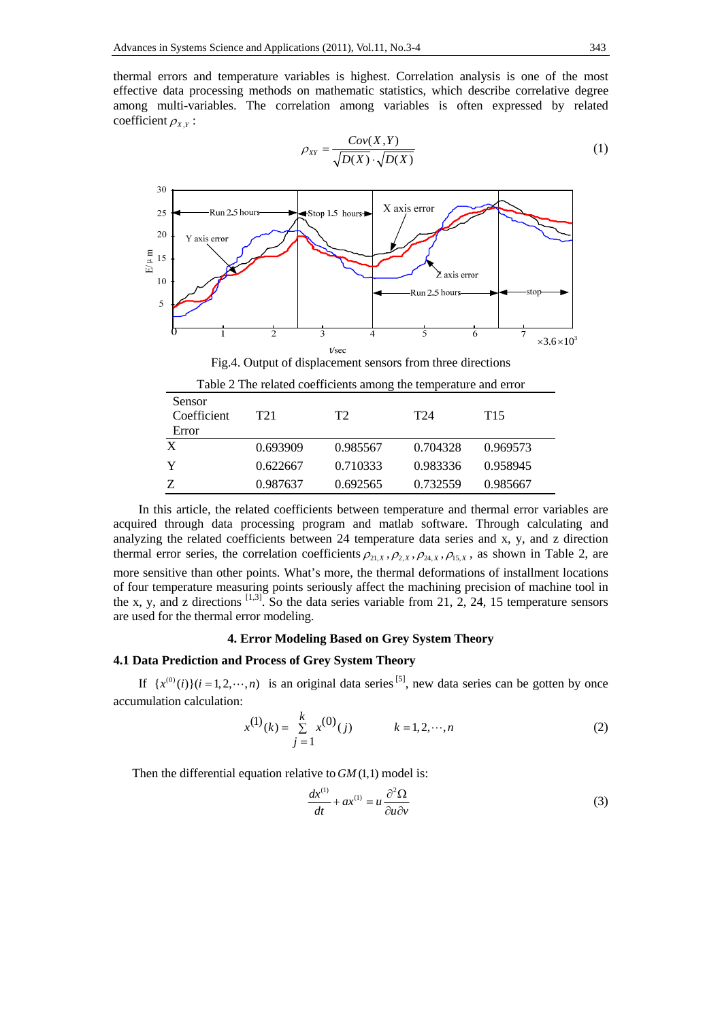thermal errors and temperature variables is highest. Correlation analysis is one of the most effective data processing methods on mathematic statistics, which describe correlative degree among multi-variables. The correlation among variables is often expressed by related coefficient  $\rho_{X,Y}$ :

$$
\rho_{XY} = \frac{Cov(X, Y)}{\sqrt{D(X)} \cdot \sqrt{D(X)}}\tag{1}
$$



Fig.4. Output of displacement sensors from three directions

| Table 2 The related coefficients among the temperature and error |          |          |          |                 |  |  |
|------------------------------------------------------------------|----------|----------|----------|-----------------|--|--|
| Sensor<br>Coefficient<br>Error                                   | T21      | T2       | T24      | T <sub>15</sub> |  |  |
| X                                                                | 0.693909 | 0.985567 | 0.704328 | 0.969573        |  |  |
| Y                                                                | 0.622667 | 0.710333 | 0.983336 | 0.958945        |  |  |
| Z                                                                | 0.987637 | 0.692565 | 0.732559 | 0.985667        |  |  |

In this article, the related coefficients between temperature and thermal error variables are acquired through data processing program and matlab software. Through calculating and analyzing the related coefficients between 24 temperature data series and x, y, and z direction thermal error series, the correlation coefficients  $\rho_{21,x}, \rho_{2x}, \rho_{24,x}, \rho_{15,x}$ , as shown in Table 2, are more sensitive than other points. What's more, the thermal deformations of installment locations of four temperature measuring points seriously affect the machining precision of machine tool in the x, y, and z directions  $\left[1,3\right]$ . So the data series variable from 21, 2, 24, 15 temperature sensors are used for the thermal error modeling.

### **4. Error Modeling Based on Grey System Theory**

# **4.1 Data Prediction and Process of Grey System Theory**

If  $\{x^{(0)}(i)\}(i=1, 2, \dots, n)$  is an original data series [5], new data series can be gotten by once accumulation calculation:

$$
x^{(1)}(k) = \sum_{j=1}^{k} x^{(0)}(j) \qquad k = 1, 2, \cdots, n
$$
 (2)

Then the differential equation relative to *GM* (1,1) model is:

$$
\frac{dx^{(1)}}{dt} + ax^{(1)} = u \frac{\partial^2 \Omega}{\partial u \partial v}
$$
 (3)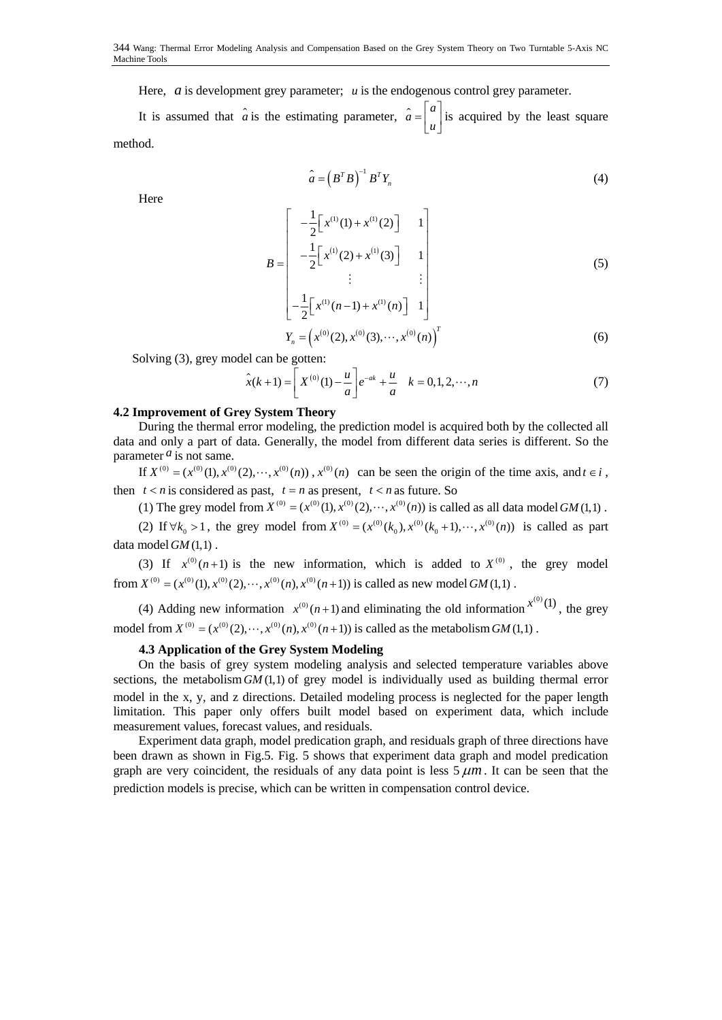Here, *a* is development grey parameter; *u* is the endogenous control grey parameter.

It is assumed that  $\hat{a}$  is the estimating parameter,  $\hat{a} = \begin{bmatrix} a \\ u \end{bmatrix}$  is acquired by the least square method.

$$
\hat{a} = \left(B^T B\right)^{-1} B^T Y_n \tag{4}
$$

Here

$$
B = \begin{bmatrix} -\frac{1}{2} \left[ x^{(1)}(1) + x^{(1)}(2) \right] & 1 \\ -\frac{1}{2} \left[ x^{(1)}(2) + x^{(1)}(3) \right] & 1 \\ \vdots & \vdots \\ -\frac{1}{2} \left[ x^{(1)}(n-1) + x^{(1)}(n) \right] & 1 \end{bmatrix}
$$
(5)  

$$
Y_n = \left( x^{(0)}(2), x^{(0)}(3), \cdots, x^{(0)}(n) \right)^T
$$
(6)

Solving (3), grey model can be gotten:

$$
\hat{x}(k+1) = \left[ X^{(0)}(1) - \frac{u}{a} \right] e^{-ak} + \frac{u}{a} \quad k = 0, 1, 2, \cdots, n \tag{7}
$$

### **4.2 Improvement of Grey System Theory**

During the thermal error modeling, the prediction model is acquired both by the collected all data and only a part of data. Generally, the model from different data series is different. So the parameter  $<sup>a</sup>$  is not same.</sup>

If  $X^{(0)} = (x^{(0)}(1), x^{(0)}(2), \dots, x^{(0)}(n))$ ,  $x^{(0)}(n)$  can be seen the origin of the time axis, and  $t \in i$ , then  $t < n$  is considered as past,  $t = n$  as present,  $t < n$  as future. So

(1) The grey model from  $X^{(0)} = (x^{(0)}(1), x^{(0)}(2), \dots, x^{(0)}(n))$  is called as all data model *GM* (1,1).

(2) If  $\forall k_0 > 1$ , the grey model from  $X^{(0)} = (x^{(0)}(k_0), x^{(0)}(k_0+1), \dots, x^{(0)}(n))$  is called as part data model *GM* (1,1).

(3) If  $x^{(0)}(n+1)$  is the new information, which is added to  $X^{(0)}$ , the grey model from  $X^{(0)} = (x^{(0)}(1), x^{(0)}(2), \dots, x^{(0)}(n), x^{(0)}(n+1))$  is called as new model *GM* (1,1).

(4) Adding new information  $x^{(0)}(n+1)$  and eliminating the old information  $x^{(0)}(1)$ , the grey model from  $X^{(0)} = (x^{(0)}(2), \dots, x^{(0)}(n), x^{(0)}(n+1))$  is called as the metabolism *GM* (1,1).

## **4.3 Application of the Grey System Modeling**

On the basis of grey system modeling analysis and selected temperature variables above sections, the metabolism  $GM(1,1)$  of grey model is individually used as building thermal error model in the x, y, and z directions. Detailed modeling process is neglected for the paper length limitation. This paper only offers built model based on experiment data, which include measurement values, forecast values, and residuals.

Experiment data graph, model predication graph, and residuals graph of three directions have been drawn as shown in Fig.5. Fig. 5 shows that experiment data graph and model predication graph are very coincident, the residuals of any data point is less  $5 \mu m$ . It can be seen that the prediction models is precise, which can be written in compensation control device.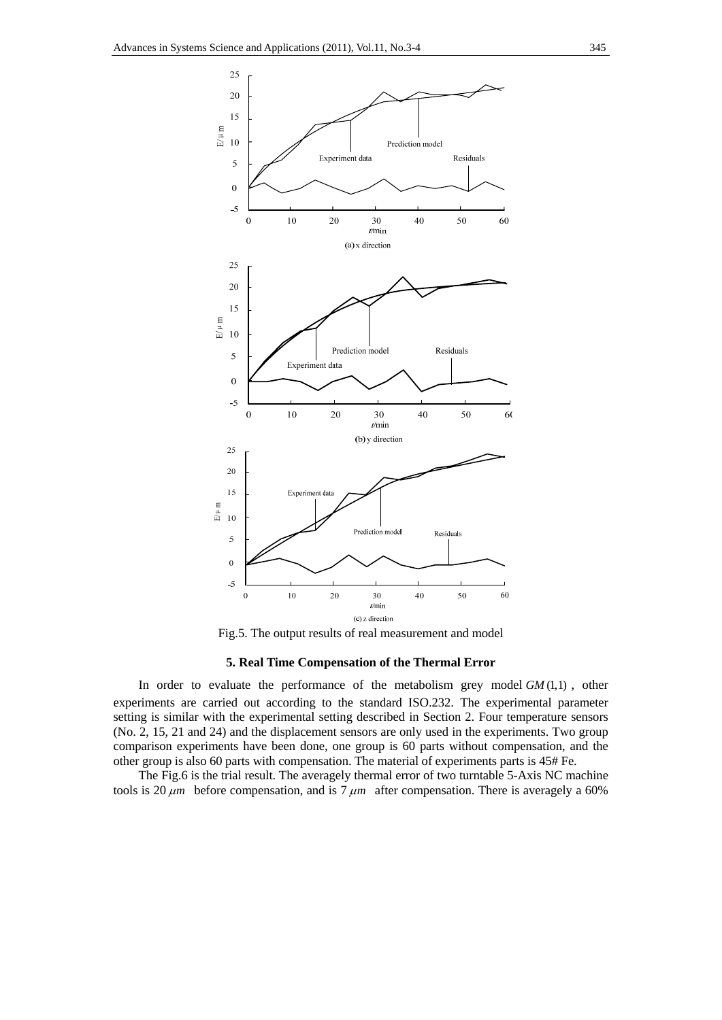

## **5. Real Time Compensation of the Thermal Error**

In order to evaluate the performance of the metabolism grey model *GM* (1,1) , other experiments are carried out according to the standard ISO.232. The experimental parameter setting is similar with the experimental setting described in Section 2. Four temperature sensors (No. 2, 15, 21 and 24) and the displacement sensors are only used in the experiments. Two group comparison experiments have been done, one group is 60 parts without compensation, and the other group is also 60 parts with compensation. The material of experiments parts is 45# Fe.

The Fig.6 is the trial result. The averagely thermal error of two turntable 5-Axis NC machine tools is 20  $\mu$ m before compensation, and is 7  $\mu$ m after compensation. There is averagely a 60%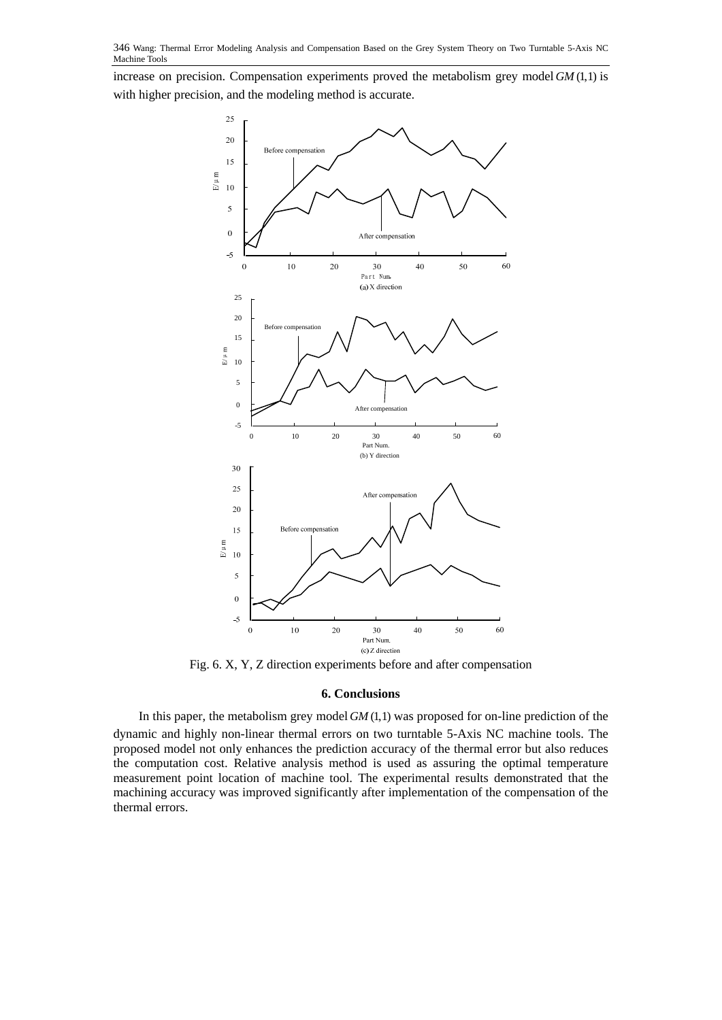increase on precision. Compensation experiments proved the metabolism grey model *GM* (1,1) is with higher precision, and the modeling method is accurate.



Fig. 6. X, Y, Z direction experiments before and after compensation

## **6. Conclusions**

In this paper, the metabolism grey model *GM* (1,1) was proposed for on-line prediction of the dynamic and highly non-linear thermal errors on two turntable 5-Axis NC machine tools. The proposed model not only enhances the prediction accuracy of the thermal error but also reduces the computation cost. Relative analysis method is used as assuring the optimal temperature measurement point location of machine tool. The experimental results demonstrated that the machining accuracy was improved significantly after implementation of the compensation of the thermal errors.